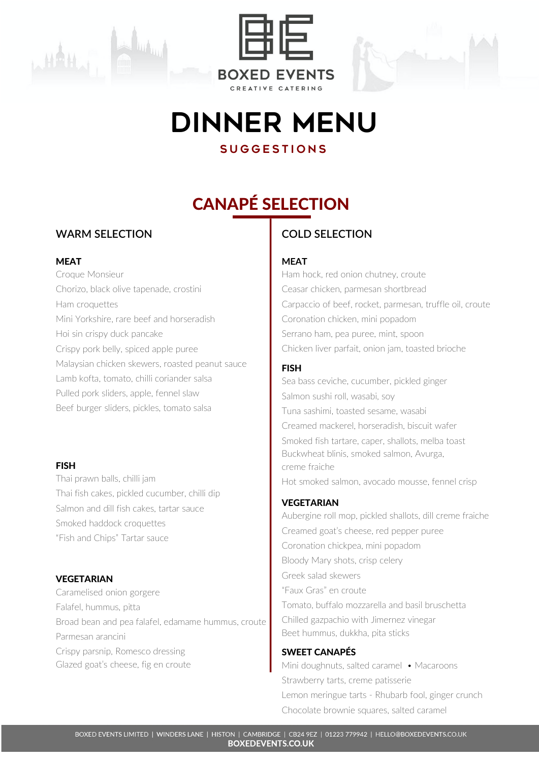



# DINNER Menu

## **SUGGESTIONS**

## CANAPÉ SELECTION

## **WARM SELECTION**

### MEAT

Croque Monsieur Chorizo, black olive tapenade, crostini Ham croquettes Mini Yorkshire, rare beef and horseradish Hoi sin crispy duck pancake Crispy pork belly, spiced apple puree Malaysian chicken skewers, roasted peanut sauce Lamb kofta, tomato, chilli coriander salsa Pulled pork sliders, apple, fennel slaw Beef burger sliders, pickles, tomato salsa

### FISH

Thai prawn balls, chilli jam Thai fish cakes, pickled cucumber, chilli dip Salmon and dill fish cakes, tartar sauce Smoked haddock croquettes "Fish and Chips" Tartar sauce

## VEGETARIAN

Caramelised onion gorgere Falafel, hummus, pitta Broad bean and pea falafel, edamame hummus, croute Parmesan arancini Crispy parsnip, Romesco dressing Glazed goat's cheese, fig en croute

## **COLD SELECTION**

## **MEAT**

Ham hock, red onion chutney, croute Ceasar chicken, parmesan shortbread Carpaccio of beef, rocket, parmesan, truffle oil, croute Coronation chicken, mini popadom Serrano ham, pea puree, mint, spoon Chicken liver parfait, onion jam, toasted brioche

## FISH

Sea bass ceviche, cucumber, pickled ginger Salmon sushi roll, wasabi, soy Tuna sashimi, toasted sesame, wasabi Creamed mackerel, horseradish, biscuit wafer Smoked fish tartare, caper, shallots, melba toast Buckwheat blinis, smoked salmon, Avurga, creme fraiche Hot smoked salmon, avocado mousse, fennel crisp

## **VEGETARIAN**

Aubergine roll mop, pickled shallots, dill creme fraiche Creamed goat's cheese, red pepper puree Coronation chickpea, mini popadom Bloody Mary shots, crisp celery Greek salad skewers "Faux Gras" en croute Tomato, buffalo mozzarella and basil bruschetta Chilled gazpachio with Jimernez vinegar Beet hummus, dukkha, pita sticks

## SWEET CANAPÉS

Mini doughnuts, salted caramel • Macaroons Strawberry tarts, creme patisserie Lemon meringue tarts - Rhubarb fool, ginger crunch Chocolate brownie squares, salted caramel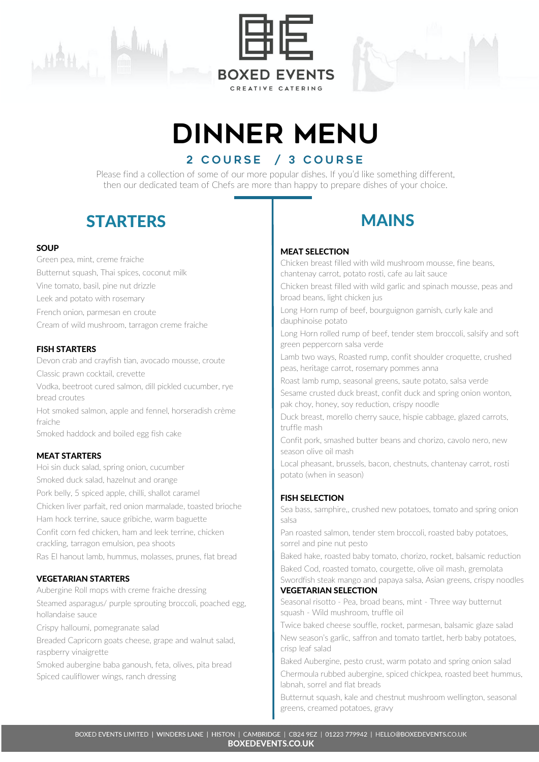





# DINNER Menu

## 2 COURSE / 3 COURSE

Please find a collection of some of our more popular dishes. If you'd like something different, then our dedicated team of Chefs are more than happy to prepare dishes of your choice.

## STARTERS I MAINS

#### **SOUP**

Green pea, mint, creme fraiche Butternut squash, Thai spices, coconut milk Vine tomato, basil, pine nut drizzle Leek and potato with rosemary French onion, parmesan en croute Cream of wild mushroom, tarragon creme fraiche

#### FISH STARTERS

Devon crab and crayfish tian, avocado mousse, croute Classic prawn cocktail, crevette Vodka, beetroot cured salmon, dill pickled cucumber, rye bread croutes Hot smoked salmon, apple and fennel, horseradish crème fraiche Smoked haddock and boiled egg fish cake

#### MEAT STARTERS

Hoi sin duck salad, spring onion, cucumber Smoked duck salad, hazelnut and orange Pork belly, 5 spiced apple, chilli, shallot caramel Chicken liver parfait, red onion marmalade, toasted brioche Ham hock terrine, sauce gribiche, warm baguette Confit corn fed chicken, ham and leek terrine, chicken crackling, tarragon emulsion, pea shoots Ras El hanout lamb, hummus, molasses, prunes, flat bread

#### VEGETARIAN STARTERS

Aubergine Roll mops with creme fraiche dressing Steamed asparagus/ purple sprouting broccoli, poached egg, hollandaise sauce

Crispy halloumi, pomegranate salad

Breaded Capricorn goats cheese, grape and walnut salad, raspberry vinaigrette

Smoked aubergine baba ganoush, feta, olives, pita bread Spiced cauliflower wings, ranch dressing



#### MEAT SELECTION

Chicken breast filled with wild mushroom mousse, fine beans, chantenay carrot, potato rosti, cafe au lait sauce

Chicken breast filled with wild garlic and spinach mousse, peas and broad beans, light chicken jus

Long Horn rump of beef, bourguignon garnish, curly kale and dauphinoise potato

Long Horn rolled rump of beef, tender stem broccoli, salsify and soft green peppercorn salsa verde

Lamb two ways, Roasted rump, confit shoulder croquette, crushed peas, heritage carrot, rosemary pommes anna

Roast lamb rump, seasonal greens, saute potato, salsa verde

Sesame crusted duck breast, confit duck and spring onion wonton, pak choy, honey, soy reduction, crispy noodle

Duck breast, morello cherry sauce, hispie cabbage, glazed carrots, truffle mash

Confit pork, smashed butter beans and chorizo, cavolo nero, new season olive oil mash

Local pheasant, brussels, bacon, chestnuts, chantenay carrot, rosti potato (when in season)

#### FISH SELECTION

Sea bass, samphire,, crushed new potatoes, tomato and spring onion salsa

Pan roasted salmon, tender stem broccoli, roasted baby potatoes, sorrel and pine nut pesto

Baked hake, roasted baby tomato, chorizo, rocket, balsamic reduction

Baked Cod, roasted tomato, courgette, olive oil mash, gremolata Swordfish steak mango and papaya salsa, Asian greens, crispy noodles VEGETARIAN SELECTION

Seasonal risotto - Pea, broad beans, mint - Three way butternut squash - Wild mushroom, truffle oil

Twice baked cheese souffle, rocket, parmesan, balsamic glaze salad New season's garlic, saffron and tomato tartlet, herb baby potatoes, crisp leaf salad

Baked Aubergine, pesto crust, warm potato and spring onion salad

Chermoula rubbed aubergine, spiced chickpea, roasted beet hummus, labnah, sorrel and flat breads

Butternut squash, kale and chestnut mushroom wellington, seasonal greens, creamed potatoes, gravy